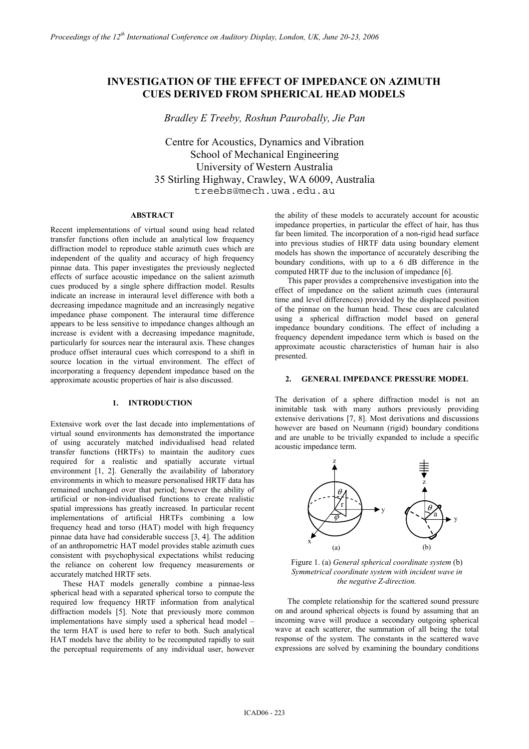# **INVESTIGATION OF THE EFFECT OF IMPEDANCE ON AZIMUTH CUES DERIVED FROM SPHERICAL HEAD MODELS**

*Bradley E Treeby, Roshun Paurobally, Jie Pan* 

Centre for Acoustics, Dynamics and Vibration School of Mechanical Engineering University of Western Australia 35 Stirling Highway, Crawley, WA 6009, Australia treebs@mech.uwa.edu.au

# **ABSTRACT**

Recent implementations of virtual sound using head related transfer functions often include an analytical low frequency diffraction model to reproduce stable azimuth cues which are independent of the quality and accuracy of high frequency pinnae data. This paper investigates the previously neglected effects of surface acoustic impedance on the salient azimuth cues produced by a single sphere diffraction model. Results indicate an increase in interaural level difference with both a decreasing impedance magnitude and an increasingly negative impedance phase component. The interaural time difference appears to be less sensitive to impedance changes although an increase is evident with a decreasing impedance magnitude, particularly for sources near the interaural axis. These changes produce offset interaural cues which correspond to a shift in source location in the virtual environment. The effect of incorporating a frequency dependent impedance based on the approximate acoustic properties of hair is also discussed.

# **1. INTRODUCTION**

Extensive work over the last decade into implementations of virtual sound environments has demonstrated the importance of using accurately matched individualised head related transfer functions (HRTFs) to maintain the auditory cues required for a realistic and spatially accurate virtual environment [1, 2]. Generally the availability of laboratory environments in which to measure personalised HRTF data has remained unchanged over that period; however the ability of artificial or non-individualised functions to create realistic spatial impressions has greatly increased. In particular recent implementations of artificial HRTFs combining a low frequency head and torso (HAT) model with high frequency pinnae data have had considerable success [3, 4]. The addition of an anthropometric HAT model provides stable azimuth cues consistent with psychophysical expectations whilst reducing the reliance on coherent low frequency measurements or accurately matched HRTF sets.

These HAT models generally combine a pinnae-less spherical head with a separated spherical torso to compute the required low frequency HRTF information from analytical diffraction models [5]. Note that previously more common implementations have simply used a spherical head model – the term HAT is used here to refer to both. Such analytical HAT models have the ability to be recomputed rapidly to suit the perceptual requirements of any individual user, however

the ability of these models to accurately account for acoustic impedance properties, in particular the effect of hair, has thus far been limited. The incorporation of a non-rigid head surface into previous studies of HRTF data using boundary element models has shown the importance of accurately describing the boundary conditions, with up to a 6 dB difference in the computed HRTF due to the inclusion of impedance [6].

This paper provides a comprehensive investigation into the effect of impedance on the salient azimuth cues (interaural time and level differences) provided by the displaced position of the pinnae on the human head. These cues are calculated using a spherical diffraction model based on general impedance boundary conditions. The effect of including a frequency dependent impedance term which is based on the approximate acoustic characteristics of human hair is also presented.

## **2. GENERAL IMPEDANCE PRESSURE MODEL**

The derivation of a sphere diffraction model is not an inimitable task with many authors previously providing extensive derivations [7, 8]. Most derivations and discussions however are based on Neumann (rigid) boundary conditions and are unable to be trivially expanded to include a specific acoustic impedance term.



Figure 1. (a) *General spherical coordinate system* (b) *Symmetrical coordinate system with incident wave in the negative Z-direction.*

The complete relationship for the scattered sound pressure on and around spherical objects is found by assuming that an incoming wave will produce a secondary outgoing spherical wave at each scatterer, the summation of all being the total response of the system. The constants in the scattered wave expressions are solved by examining the boundary conditions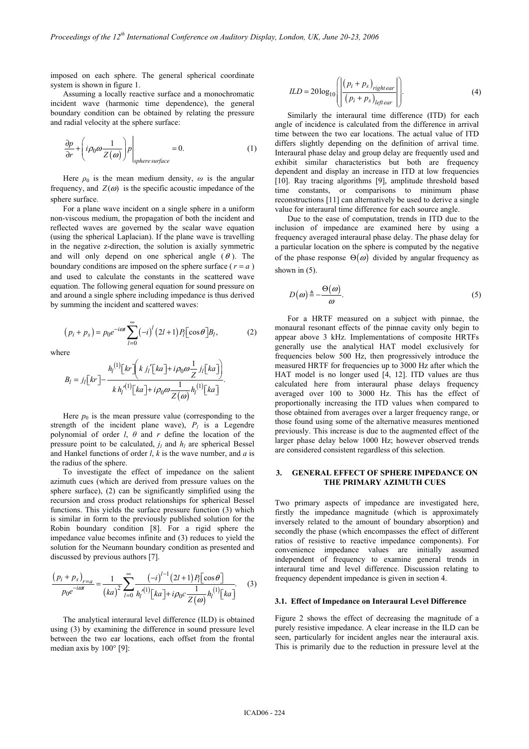imposed on each sphere. The general spherical coordinate system is shown in figure 1.

Assuming a locally reactive surface and a monochromatic incident wave (harmonic time dependence), the general boundary condition can be obtained by relating the pressure and radial velocity at the sphere surface:

$$
\frac{\partial p}{\partial r} + \left( i\rho_0 \omega \frac{1}{Z(\omega)} \right) p \Big|_{spheresurface} = 0.
$$
 (1)

Here  $\rho_0$  is the mean medium density,  $\omega$  is the angular frequency, and  $Z(\omega)$  is the specific acoustic impedance of the sphere surface.

For a plane wave incident on a single sphere in a uniform non-viscous medium, the propagation of both the incident and reflected waves are governed by the scalar wave equation (using the spherical Laplacian). If the plane wave is travelling in the negative z-direction, the solution is axially symmetric and will only depend on one spherical angle  $(\theta)$ . The boundary conditions are imposed on the sphere surface ( $r = a$ ) and used to calculate the constants in the scattered wave equation. The following general equation for sound pressure on and around a single sphere including impedance is thus derived by summing the incident and scattered waves:

$$
(p_i + p_s) = p_0 e^{-i\omega t} \sum_{l=0}^{\infty} (-i)^l (2l+1) P_l [\cos \theta] B_l,
$$
 (2)

where

$$
B_{l} = j_{l}[kr] - \frac{h_{l}^{(1)}[kr]\left(kj_{l}'[ka] + i\rho_{0}\omega\frac{1}{Z}j_{l}[ka]\right)}{k h_{l}'^{(1)}[ka] + i\rho_{0}\omega\frac{1}{Z(\omega)}h_{l}^{(1)}[ka]}.
$$

Here  $p_0$  is the mean pressure value (corresponding to the strength of the incident plane wave),  $P_l$  is a Legendre polynomial of order *l*, *θ* and *r* define the location of the pressure point to be calculated,  $j_l$  and  $h_l$  are spherical Bessel and Hankel functions of order *l*, *k* is the wave number, and *a* is the radius of the sphere.

To investigate the effect of impedance on the salient azimuth cues (which are derived from pressure values on the sphere surface), (2) can be significantly simplified using the recursion and cross product relationships for spherical Bessel functions. This yields the surface pressure function (3) which is similar in form to the previously published solution for the Robin boundary condition [8]. For a rigid sphere the impedance value becomes infinite and (3) reduces to yield the solution for the Neumann boundary condition as presented and discussed by previous authors [7].

$$
\frac{(p_i + p_s)_{r=a}}{p_0 e^{-i\omega t}} = \frac{1}{(ka)^2} \sum_{l=0}^{\infty} \frac{(-i)^{l-1} (2l+1) P_l[\cos \theta]}{h_l^{(1)}[ka] + i\rho_0 c \frac{1}{Z(\omega)} h_l^{(1)}[ka]}.
$$
 (3)

The analytical interaural level difference (ILD) is obtained using (3) by examining the difference in sound pressure level between the two ear locations, each offset from the frontal median axis by 100° [9]:

$$
ILD = 20\log_{10}\left(\left|\frac{\left(p_i + p_s\right)_{right\text{ear}}}{\left(p_i + p_s\right)_{left\text{ear}}}\right|\right).
$$
\n<sup>(4)</sup>

Similarly the interaural time difference (ITD) for each angle of incidence is calculated from the difference in arrival time between the two ear locations. The actual value of ITD differs slightly depending on the definition of arrival time. Interaural phase delay and group delay are frequently used and exhibit similar characteristics but both are frequency dependent and display an increase in ITD at low frequencies [10]. Ray tracing algorithms [9], amplitude threshold based time constants, or comparisons to minimum phase reconstructions [11] can alternatively be used to derive a single value for interaural time difference for each source angle.

Due to the ease of computation, trends in ITD due to the inclusion of impedance are examined here by using a frequency averaged interaural phase delay. The phase delay for a particular location on the sphere is computed by the negative of the phase response  $\Theta(\omega)$  divided by angular frequency as shown in  $(5)$ .

$$
D(\omega) \triangleq -\frac{\Theta(\omega)}{\omega}.\tag{5}
$$

For a HRTF measured on a subject with pinnae, the monaural resonant effects of the pinnae cavity only begin to appear above 3 kHz. Implementations of composite HRTFs generally use the analytical HAT model exclusively for frequencies below 500 Hz, then progressively introduce the measured HRTF for frequencies up to 3000 Hz after which the HAT model is no longer used [4, 12]. ITD values are thus calculated here from interaural phase delays frequency averaged over 100 to 3000 Hz. This has the effect of proportionally increasing the ITD values when compared to those obtained from averages over a larger frequency range, or those found using some of the alternative measures mentioned previously. This increase is due to the augmented effect of the larger phase delay below 1000 Hz; however observed trends are considered consistent regardless of this selection.

# **3. GENERAL EFFECT OF SPHERE IMPEDANCE ON THE PRIMARY AZIMUTH CUES**

Two primary aspects of impedance are investigated here, firstly the impedance magnitude (which is approximately inversely related to the amount of boundary absorption) and secondly the phase (which encompasses the effect of different ratios of resistive to reactive impedance components). For convenience impedance values are initially assumed independent of frequency to examine general trends in interaural time and level difference. Discussion relating to frequency dependent impedance is given in section 4.

#### **3.1. Effect of Impedance on Interaural Level Difference**

Figure 2 shows the effect of decreasing the magnitude of a purely resistive impedance. A clear increase in the ILD can be seen, particularly for incident angles near the interaural axis. This is primarily due to the reduction in pressure level at the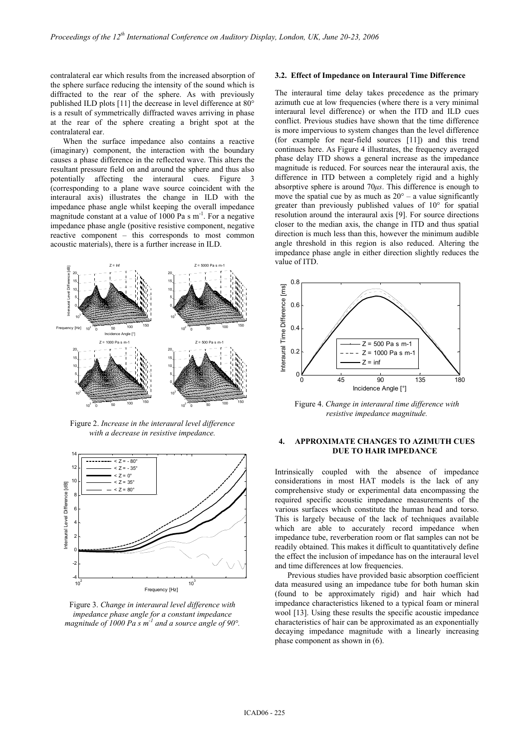contralateral ear which results from the increased absorption of the sphere surface reducing the intensity of the sound which is diffracted to the rear of the sphere. As with previously published ILD plots [11] the decrease in level difference at 80° is a result of symmetrically diffracted waves arriving in phase at the rear of the sphere creating a bright spot at the contralateral ear.

When the surface impedance also contains a reactive (imaginary) component, the interaction with the boundary causes a phase difference in the reflected wave. This alters the resultant pressure field on and around the sphere and thus also potentially affecting the interaural cues. Figure 3 (corresponding to a plane wave source coincident with the interaural axis) illustrates the change in ILD with the impedance phase angle whilst keeping the overall impedance magnitude constant at a value of 1000 Pa s  $m^{-1}$ . For a negative impedance phase angle (positive resistive component, negative reactive component – this corresponds to most common acoustic materials), there is a further increase in ILD.



Figure 2. *Increase in the interaural level difference with a decrease in resistive impedance.* 



Figure 3. *Change in interaural level difference with impedance phase angle for a constant impedance magnitude of 1000 Pa s m-1 and a source angle of 90°.* 

## **3.2. Effect of Impedance on Interaural Time Difference**

The interaural time delay takes precedence as the primary azimuth cue at low frequencies (where there is a very minimal interaural level difference) or when the ITD and ILD cues conflict. Previous studies have shown that the time difference is more impervious to system changes than the level difference (for example for near-field sources [11]) and this trend continues here. As Figure 4 illustrates, the frequency averaged phase delay ITD shows a general increase as the impedance magnitude is reduced. For sources near the interaural axis, the difference in ITD between a completely rigid and a highly absorptive sphere is around 70*µs*. This difference is enough to move the spatial cue by as much as  $20^\circ$  – a value significantly greater than previously published values of 10° for spatial resolution around the interaural axis [9]. For source directions closer to the median axis, the change in ITD and thus spatial direction is much less than this, however the minimum audible angle threshold in this region is also reduced. Altering the impedance phase angle in either direction slightly reduces the value of ITD.



Figure 4. *Change in interaural time difference with resistive impedance magnitude.* 

## **4. APPROXIMATE CHANGES TO AZIMUTH CUES DUE TO HAIR IMPEDANCE**

Intrinsically coupled with the absence of impedance considerations in most HAT models is the lack of any comprehensive study or experimental data encompassing the required specific acoustic impedance measurements of the various surfaces which constitute the human head and torso. This is largely because of the lack of techniques available which are able to accurately record impedance when impedance tube, reverberation room or flat samples can not be readily obtained. This makes it difficult to quantitatively define the effect the inclusion of impedance has on the interaural level and time differences at low frequencies.

Previous studies have provided basic absorption coefficient data measured using an impedance tube for both human skin (found to be approximately rigid) and hair which had impedance characteristics likened to a typical foam or mineral wool [13]. Using these results the specific acoustic impedance characteristics of hair can be approximated as an exponentially decaying impedance magnitude with a linearly increasing phase component as shown in (6).